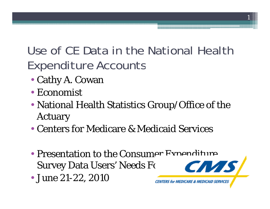## Use of CE Data in the National Health Expenditure Accounts

- Cathy A. Cowan
- Economist
- National Health Statistics Group/Office of the Actuary
- Centers for Medicare & Medicaid Services
- Presentation to the Consumer Expenditure Survey Data Users' Needs Fc
- June 21-22, 2010

1

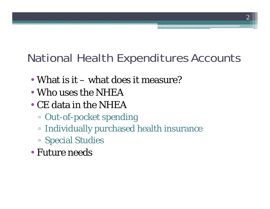## National Health Expenditures Accounts

2

- What is it what does it measure?
- Who uses the NHEA
- CE data in the NHEA
	- □ Out-of-pocket spending
	- Individually purchased health insurance
	- S pecial Studies
- Future needs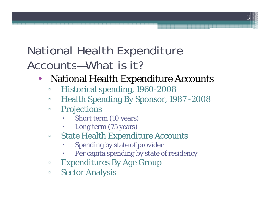#### National Health Expenditure Accounts—What is it?

- $\bullet$  National Health Expenditure Accounts
	- $\Box$ **EXECUTE: Historical spending, 1960-2008**
	- $\Box$ Health Spending By Sponsor, 1987 -2008
	- $\Box$  Projections
		- С Short term (10 years)
		- С Long term (75 years)
	- $\Box$  State Health Expenditure Accounts
		- С • Spending by state of provider
		- О Per capita spending by state of residency
	- $\Box$ Expenditures By Age Group
	- $\Box$ **BECO Analysis**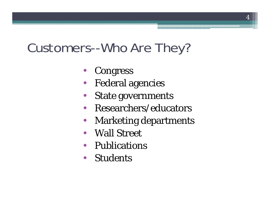## Customers--Who Are They?

- •Congress
- $\bullet$ Federal agencies
- $\bullet$ State governments
- •Researchers/educators
- $\bullet$ • Marketing departments
- Wall Street
- Publications
- Students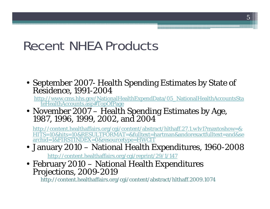#### Recent NHEA Products

• September 2007- Health Spending Estimates by State of<br>Residence. 1991-2004 Residence, 1991-2004

http://www.cms.hhs.gov/NationalHealthExpendData/05\_NationalHealthAccountsSta teHealthAccounts.asp#TopOfPage

• November 2007 – Health Spending Estimates by Age, 1987. 1996. 1999. 2002. and 2004 1987, 1996, 1999, 2002, and

http://content.healthaffairs.org/cgi/content/abstract/hlthaff.27.1.w1v1?maxtoshow=& HITS=10&hits=10&RESULTFORMAT=&fulltext=hartman&andorexactfulltext=and&se archid=1&FIRSTINDEX=0&resourcetype=HWCIT

#### $\bullet \,$  January 2010 – National Health Expenditures, 1960-2008  $\,$

http://content.healthaffairs.org/cgi/reprint/29/1/147

• February 2010 – National Health Expenditures<br>Projections, 2009-2019

http://content.healthaffairs.org/cgi/content/abstract/hlthaff.2009.1074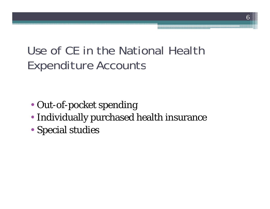#### Use of CE in the National Health Expenditure Accounts

- Out-of-pocket spending
- Individually purchased health insurance
- Special studies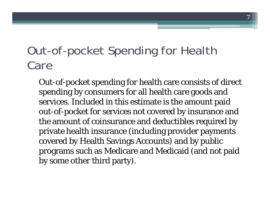#### Out-of-pocket Spending for Health Care

Out-of-pocket spending for health care consists of direct spending by consumers for all health care goods and services. Included in this estimate is the amount paid out-of-pocket for services not covered by insurance and the amount of coinsurance and deductibles required by private health insurance (including provider payments covered by Health Savings Accounts) and by public programs such as Medicare and Medicaid (and not paid by some other third party).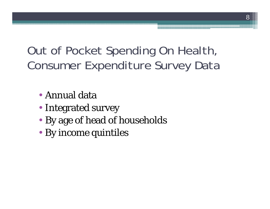#### Out of Pocket Spending On Health, Consumer Expenditure Survey Data

- •Annual data
- Integrated survey
- By age of head of households
- By income quintiles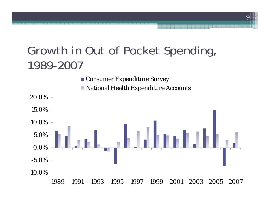#### Growth in Out of Pocket Spending, 1989 -2007



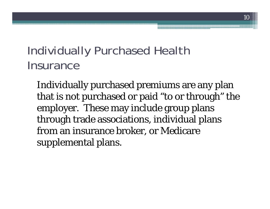#### Individually Purchased Health **Insurance**

Individually purchased premiums are any plan that is not purchased or paid "to or through" the employer. These may include group plans through trade associations, individual plans from an insurance broker, or Medicare supplemental plans.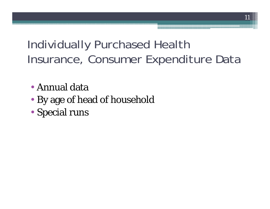#### Individually Purchased Health Insurance, Consumer Expenditure Data

- •Annual data
- By age of head of household
- S pecial runs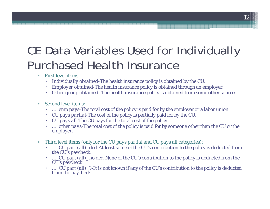#### CE Data Variables Used for Individually Purchased Health Insurance

- $\Box$  First level items:
	- *Individually obtained*-The health insurance policy is obtained by the CU.
	- ۰ *Employer obtained*-The health insurance policy is obtained through an employer.
	- Other group obtained- The health insurance policy is obtained from some other source.

#### $\Box$ Second level items:

- 0 *…\_emp pays*-The total cost of the policy is paid for by the employer or a labor union.
- 0  $\cdot$  *CU pays partial*-The cost of the policy is partially paid for by the CU.
- ۰ *CU pays all*-The CU pays for the total cost of the policy.
- ۰ *…\_other pays*-The total cost of the policy is paid for by someone other than the CU or the employer.
- $\Box$ *pays all categories)*  $\cdot$  *reprodustional index to the CU pays all categories)*  $\cdot$ 
	- *…\_CU part (all)\_ded*-At least some of the CU's contribution to the policy is deducted from the CU's paycheck.
	- *…\_CU part (all)\_no ded-*None of the CU's contribution to the policy is deducted from the CU's paycheck.
	- …*\_CU part (all)\_?*-It is not known if any of the CU's contribution to the policy is deducted from the paycheck.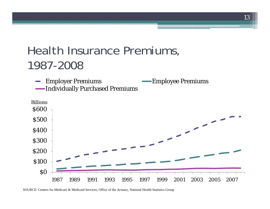#### Health Insurance Premiums, 1987-2008

Employer Premiums Employee Premiums  $\qquad \qquad \blacksquare$ Individuall y Purchased Premiums



SOURCE: Centers for Medicare & Medicaid Services, Office of the Actuary, National Health Statistics Group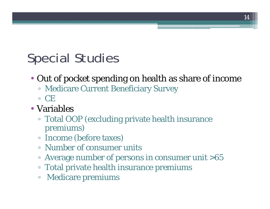# Special Studies

- Out of pocket spending on health as share of income
	- Medicare Current Beneficiary Survey
	- CE
- Variables
	- □ Total OOP (excluding private health insurance premiums)
	- Income (before taxes)
	- Number of consumer units
	- Average number of persons in consumer unit >65
	- Total private health insurance premiums
	- $\Box$ Medicare premiums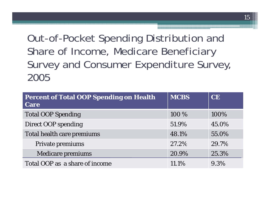Out-of-Pocket Spending Distribution and Share of Income, Medicare Beneficiary Survey and Consumer Expenditure Survey, 2005

| <b>Percent of Total OOP Spending on Health</b><br><b>Care</b> | <b>MCBS</b> | <b>CE</b> |
|---------------------------------------------------------------|-------------|-----------|
| <b>Total OOP Spending</b>                                     | 100 %       | 100%      |
| <b>Direct OOP spending</b>                                    | 51.9%       | 45.0%     |
| <b>Total health care premiums</b>                             | 48.1%       | 55.0%     |
| Private premiums                                              | 27.2%       | 29.7%     |
| Medicare premiums                                             | 20.9%       | 25.3%     |
| Total OOP as a share of income                                | 11.1%       | 9.3%      |